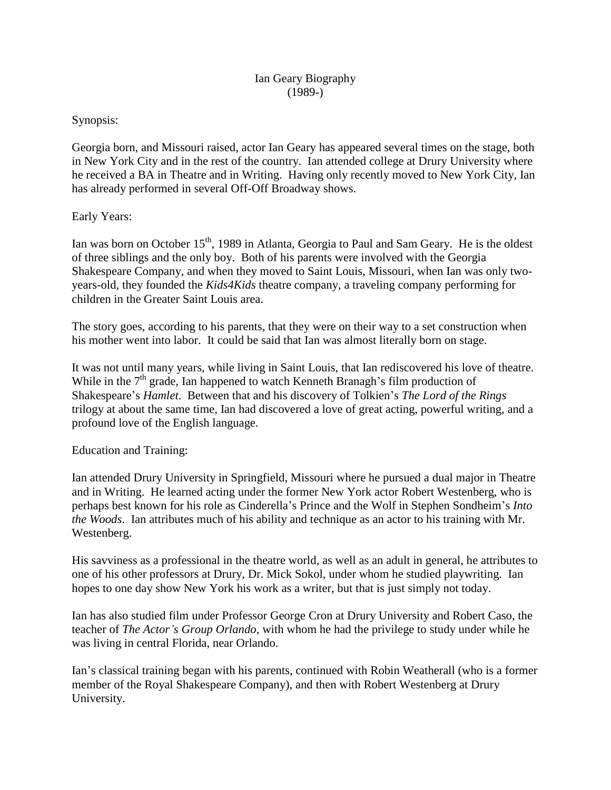## Synopsis:

Georgia born, and Missouri raised, actor Ian Geary has appeared several times on the stage, both in New York City and in the rest of the country. Ian attended college at Drury University where he received a BA in Theatre and in Writing. Having only recently moved to New York City, Ian has already performed in several Off-Off Broadway shows.

## Early Years:

Ian was born on October 15<sup>th</sup>, 1989 in Atlanta, Georgia to Paul and Sam Geary. He is the oldest of three siblings and the only boy. Both of his parents were involved with the Georgia Shakespeare Company, and when they moved to Saint Louis, Missouri, when Ian was only twoyears-old, they founded the *Kids4Kids* theatre company, a traveling company performing for children in the Greater Saint Louis area.

The story goes, according to his parents, that they were on their way to a set construction when his mother went into labor. It could be said that Ian was almost literally born on stage.

It was not until many years, while living in Saint Louis, that Ian rediscovered his love of theatre. While in the  $7<sup>th</sup>$  grade, Ian happened to watch Kenneth Branagh's film production of Shakespeare's *Hamlet*. Between that and his discovery of Tolkien's *The Lord of the Rings* trilogy at about the same time, Ian had discovered a love of great acting, powerful writing, and a profound love of the English language.

Education and Training:

Ian attended Drury University in Springfield, Missouri where he pursued a dual major in Theatre and in Writing. He learned acting under the former New York actor Robert Westenberg, who is perhaps best known for his role as Cinderella's Prince and the Wolf in Stephen Sondheim's *Into the Woods*. Ian attributes much of his ability and technique as an actor to his training with Mr. Westenberg.

His savviness as a professional in the theatre world, as well as an adult in general, he attributes to one of his other professors at Drury, Dr. Mick Sokol, under whom he studied playwriting. Ian hopes to one day show New York his work as a writer, but that is just simply not today.

Ian has also studied film under Professor George Cron at Drury University and Robert Caso, the teacher of *The Actor's Group Orlando*, with whom he had the privilege to study under while he was living in central Florida, near Orlando.

Ian's classical training began with his parents, continued with Robin Weatherall (who is a former member of the Royal Shakespeare Company), and then with Robert Westenberg at Drury University.